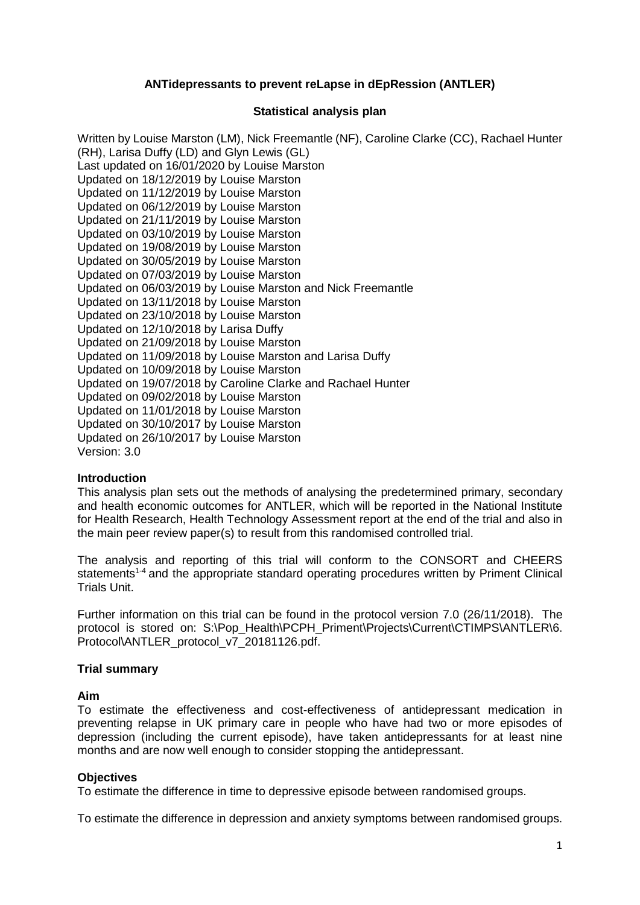## **ANTidepressants to prevent reLapse in dEpRession (ANTLER)**

### **Statistical analysis plan**

Written by Louise Marston (LM), Nick Freemantle (NF), Caroline Clarke (CC), Rachael Hunter (RH), Larisa Duffy (LD) and Glyn Lewis (GL) Last updated on 16/01/2020 by Louise Marston Updated on 18/12/2019 by Louise Marston Updated on 11/12/2019 by Louise Marston Updated on 06/12/2019 by Louise Marston Updated on 21/11/2019 by Louise Marston Updated on 03/10/2019 by Louise Marston Updated on 19/08/2019 by Louise Marston Updated on 30/05/2019 by Louise Marston Updated on 07/03/2019 by Louise Marston Updated on 06/03/2019 by Louise Marston and Nick Freemantle Updated on 13/11/2018 by Louise Marston Updated on 23/10/2018 by Louise Marston Updated on 12/10/2018 by Larisa Duffy Updated on 21/09/2018 by Louise Marston Updated on 11/09/2018 by Louise Marston and Larisa Duffy Updated on 10/09/2018 by Louise Marston Updated on 19/07/2018 by Caroline Clarke and Rachael Hunter Updated on 09/02/2018 by Louise Marston Updated on 11/01/2018 by Louise Marston Updated on 30/10/2017 by Louise Marston Updated on 26/10/2017 by Louise Marston Version: 3.0

### **Introduction**

This analysis plan sets out the methods of analysing the predetermined primary, secondary and health economic outcomes for ANTLER, which will be reported in the National Institute for Health Research, Health Technology Assessment report at the end of the trial and also in the main peer review paper(s) to result from this randomised controlled trial.

The analysis and reporting of this trial will conform to the CONSORT and CHEERS statements<sup>1-4</sup> and the appropriate standard operating procedures written by Priment Clinical Trials Unit.

Further information on this trial can be found in the protocol version 7.0 (26/11/2018). The protocol is stored on: S:\Pop\_Health\PCPH\_Priment\Projects\Current\CTIMPS\ANTLER\6. Protocol\ANTLER\_protocol\_v7\_20181126.pdf.

### **Trial summary**

### **Aim**

To estimate the effectiveness and cost-effectiveness of antidepressant medication in preventing relapse in UK primary care in people who have had two or more episodes of depression (including the current episode), have taken antidepressants for at least nine months and are now well enough to consider stopping the antidepressant.

### **Objectives**

To estimate the difference in time to depressive episode between randomised groups.

To estimate the difference in depression and anxiety symptoms between randomised groups.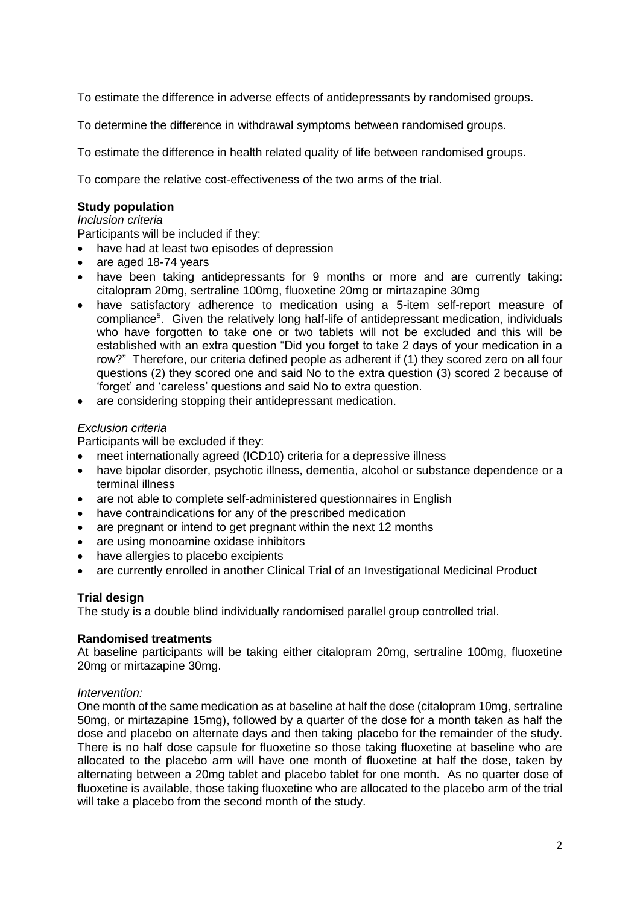To estimate the difference in adverse effects of antidepressants by randomised groups.

To determine the difference in withdrawal symptoms between randomised groups.

To estimate the difference in health related quality of life between randomised groups.

To compare the relative cost-effectiveness of the two arms of the trial.

## **Study population**

### *Inclusion criteria*

Participants will be included if they:

- have had at least two episodes of depression
- are aged 18-74 years
- have been taking antidepressants for 9 months or more and are currently taking: citalopram 20mg, sertraline 100mg, fluoxetine 20mg or mirtazapine 30mg
- have satisfactory adherence to medication using a 5-item self-report measure of compliance<sup>5</sup>. Given the relatively long half-life of antidepressant medication, individuals who have forgotten to take one or two tablets will not be excluded and this will be established with an extra question "Did you forget to take 2 days of your medication in a row?" Therefore, our criteria defined people as adherent if (1) they scored zero on all four questions (2) they scored one and said No to the extra question (3) scored 2 because of 'forget' and 'careless' questions and said No to extra question.
- are considering stopping their antidepressant medication.

# *Exclusion criteria*

Participants will be excluded if they:

- meet internationally agreed (ICD10) criteria for a depressive illness
- have bipolar disorder, psychotic illness, dementia, alcohol or substance dependence or a terminal illness
- are not able to complete self-administered questionnaires in English
- have contraindications for any of the prescribed medication
- are pregnant or intend to get pregnant within the next 12 months
- are using monoamine oxidase inhibitors
- have allergies to placebo excipients
- are currently enrolled in another Clinical Trial of an Investigational Medicinal Product

# **Trial design**

The study is a double blind individually randomised parallel group controlled trial.

## **Randomised treatments**

At baseline participants will be taking either citalopram 20mg, sertraline 100mg, fluoxetine 20mg or mirtazapine 30mg.

## *Intervention:*

One month of the same medication as at baseline at half the dose (citalopram 10mg, sertraline 50mg, or mirtazapine 15mg), followed by a quarter of the dose for a month taken as half the dose and placebo on alternate days and then taking placebo for the remainder of the study. There is no half dose capsule for fluoxetine so those taking fluoxetine at baseline who are allocated to the placebo arm will have one month of fluoxetine at half the dose, taken by alternating between a 20mg tablet and placebo tablet for one month. As no quarter dose of fluoxetine is available, those taking fluoxetine who are allocated to the placebo arm of the trial will take a placebo from the second month of the study.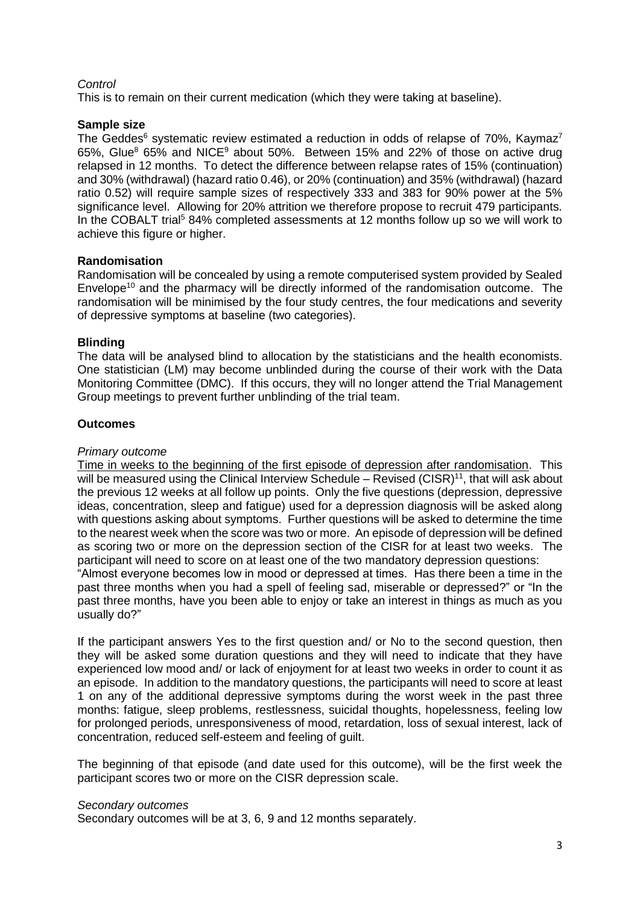## *Control*

This is to remain on their current medication (which they were taking at baseline).

### **Sample size**

The Geddes<sup>6</sup> systematic review estimated a reduction in odds of relapse of 70%. Kaymaz<sup>7</sup> 65%, Glue<sup>8</sup> 65% and NICE<sup>9</sup> about 50%. Between 15% and 22% of those on active drug relapsed in 12 months. To detect the difference between relapse rates of 15% (continuation) and 30% (withdrawal) (hazard ratio 0.46), or 20% (continuation) and 35% (withdrawal) (hazard ratio 0.52) will require sample sizes of respectively 333 and 383 for 90% power at the 5% significance level. Allowing for 20% attrition we therefore propose to recruit 479 participants. In the COBALT trial<sup>5</sup> 84% completed assessments at 12 months follow up so we will work to achieve this figure or higher.

### **Randomisation**

Randomisation will be concealed by using a remote computerised system provided by Sealed Envelope<sup>10</sup> and the pharmacy will be directly informed of the randomisation outcome. The randomisation will be minimised by the four study centres, the four medications and severity of depressive symptoms at baseline (two categories).

### **Blinding**

The data will be analysed blind to allocation by the statisticians and the health economists. One statistician (LM) may become unblinded during the course of their work with the Data Monitoring Committee (DMC). If this occurs, they will no longer attend the Trial Management Group meetings to prevent further unblinding of the trial team.

### **Outcomes**

### *Primary outcome*

Time in weeks to the beginning of the first episode of depression after randomisation. This will be measured using the Clinical Interview Schedule  $-$  Revised (CISR)<sup>11</sup>, that will ask about the previous 12 weeks at all follow up points. Only the five questions (depression, depressive ideas, concentration, sleep and fatigue) used for a depression diagnosis will be asked along with questions asking about symptoms. Further questions will be asked to determine the time to the nearest week when the score was two or more. An episode of depression will be defined as scoring two or more on the depression section of the CISR for at least two weeks. The participant will need to score on at least one of the two mandatory depression questions:

"Almost everyone becomes low in mood or depressed at times. Has there been a time in the past three months when you had a spell of feeling sad, miserable or depressed?" or "In the past three months, have you been able to enjoy or take an interest in things as much as you usually do?"

If the participant answers Yes to the first question and/ or No to the second question, then they will be asked some duration questions and they will need to indicate that they have experienced low mood and/ or lack of enjoyment for at least two weeks in order to count it as an episode. In addition to the mandatory questions, the participants will need to score at least 1 on any of the additional depressive symptoms during the worst week in the past three months: fatigue, sleep problems, restlessness, suicidal thoughts, hopelessness, feeling low for prolonged periods, unresponsiveness of mood, retardation, loss of sexual interest, lack of concentration, reduced self-esteem and feeling of guilt.

The beginning of that episode (and date used for this outcome), will be the first week the participant scores two or more on the CISR depression scale.

### *Secondary outcomes*

Secondary outcomes will be at 3, 6, 9 and 12 months separately.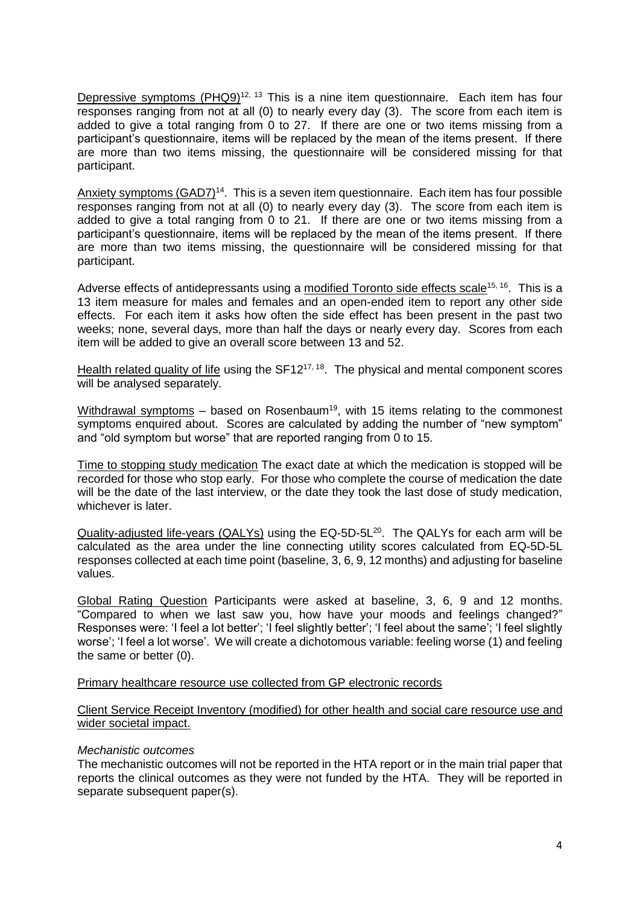Depressive symptoms (PHQ9)<sup>12, 13</sup> This is a nine item questionnaire. Each item has four responses ranging from not at all (0) to nearly every day (3). The score from each item is added to give a total ranging from 0 to 27. If there are one or two items missing from a participant's questionnaire, items will be replaced by the mean of the items present. If there are more than two items missing, the questionnaire will be considered missing for that participant.

Anxiety symptoms (GAD7)<sup>14</sup>. This is a seven item questionnaire. Each item has four possible responses ranging from not at all (0) to nearly every day (3). The score from each item is added to give a total ranging from 0 to 21. If there are one or two items missing from a participant's questionnaire, items will be replaced by the mean of the items present. If there are more than two items missing, the questionnaire will be considered missing for that participant.

Adverse effects of antidepressants using a modified Toronto side effects scale<sup>15, 16</sup>. This is a 13 item measure for males and females and an open-ended item to report any other side effects. For each item it asks how often the side effect has been present in the past two weeks; none, several days, more than half the days or nearly every day. Scores from each item will be added to give an overall score between 13 and 52.

Health related quality of life using the SF12<sup>17, 18</sup>. The physical and mental component scores will be analysed separately.

Withdrawal symptoms  $-$  based on Rosenbaum<sup>19</sup>, with 15 items relating to the commonest symptoms enquired about. Scores are calculated by adding the number of "new symptom" and "old symptom but worse" that are reported ranging from 0 to 15.

Time to stopping study medication The exact date at which the medication is stopped will be recorded for those who stop early. For those who complete the course of medication the date will be the date of the last interview, or the date they took the last dose of study medication, whichever is later.

Quality-adjusted life-years (QALYs) using the EQ-5D-5L<sup>20</sup>. The QALYs for each arm will be calculated as the area under the line connecting utility scores calculated from EQ-5D-5L responses collected at each time point (baseline, 3, 6, 9, 12 months) and adjusting for baseline values.

Global Rating Question Participants were asked at baseline, 3, 6, 9 and 12 months. "Compared to when we last saw you, how have your moods and feelings changed?" Responses were: 'I feel a lot better'; 'I feel slightly better'; 'I feel about the same'; 'I feel slightly worse'; 'I feel a lot worse'. We will create a dichotomous variable: feeling worse (1) and feeling the same or better (0).

### Primary healthcare resource use collected from GP electronic records

Client Service Receipt Inventory (modified) for other health and social care resource use and wider societal impact.

### *Mechanistic outcomes*

The mechanistic outcomes will not be reported in the HTA report or in the main trial paper that reports the clinical outcomes as they were not funded by the HTA. They will be reported in separate subsequent paper(s).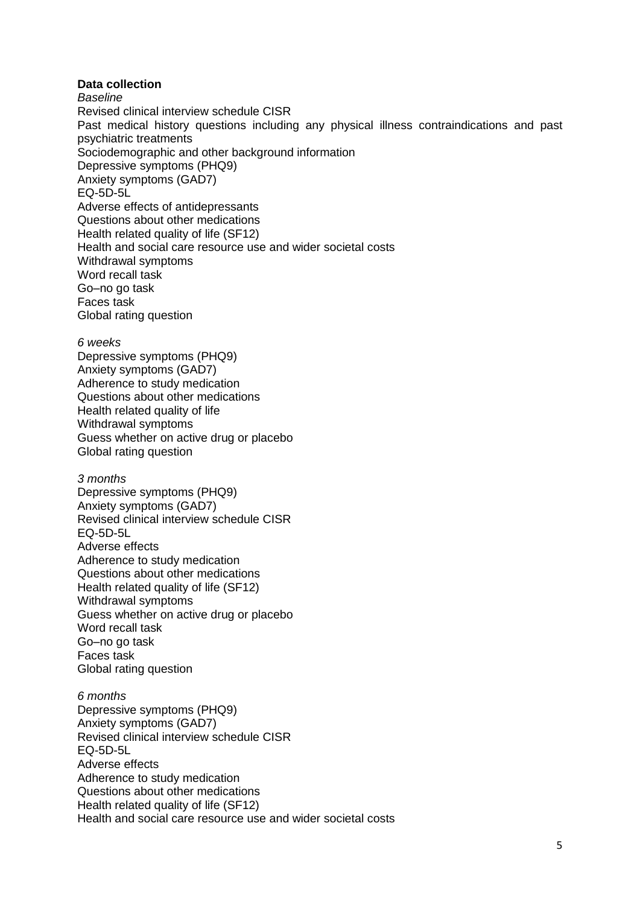## **Data collection**

*Baseline* Revised clinical interview schedule CISR Past medical history questions including any physical illness contraindications and past psychiatric treatments Sociodemographic and other background information Depressive symptoms (PHQ9) Anxiety symptoms (GAD7) EQ-5D-5L Adverse effects of antidepressants Questions about other medications Health related quality of life (SF12) Health and social care resource use and wider societal costs Withdrawal symptoms Word recall task Go–no go task Faces task Global rating question

#### *6 weeks*

Depressive symptoms (PHQ9) Anxiety symptoms (GAD7) Adherence to study medication Questions about other medications Health related quality of life Withdrawal symptoms Guess whether on active drug or placebo Global rating question

#### *3 months*

Depressive symptoms (PHQ9) Anxiety symptoms (GAD7) Revised clinical interview schedule CISR EQ-5D-5L Adverse effects Adherence to study medication Questions about other medications Health related quality of life (SF12) Withdrawal symptoms Guess whether on active drug or placebo Word recall task Go–no go task Faces task Global rating question

#### *6 months*

Depressive symptoms (PHQ9) Anxiety symptoms (GAD7) Revised clinical interview schedule CISR EQ-5D-5L Adverse effects Adherence to study medication Questions about other medications Health related quality of life (SF12) Health and social care resource use and wider societal costs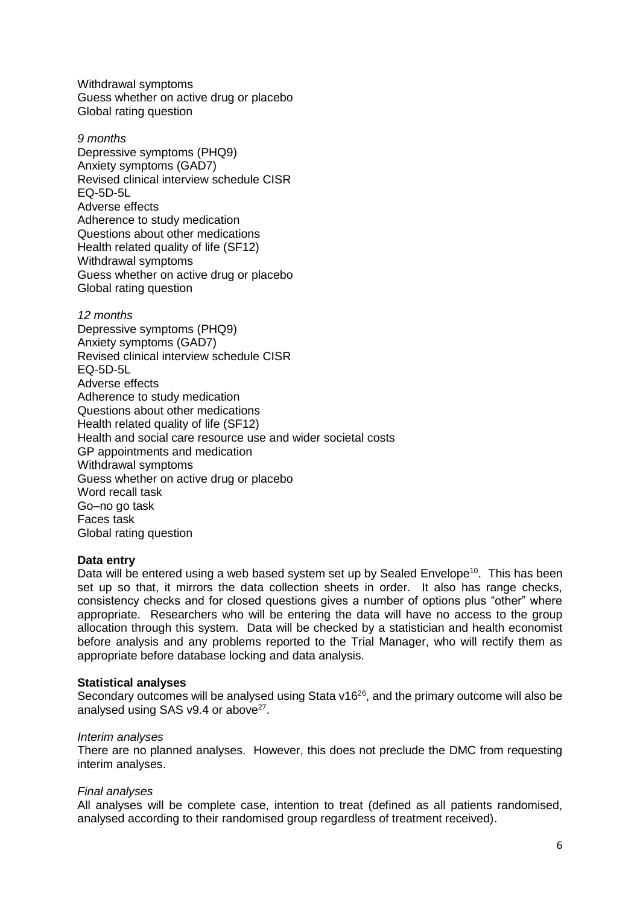Withdrawal symptoms Guess whether on active drug or placebo Global rating question

*9 months*  Depressive symptoms (PHQ9) Anxiety symptoms (GAD7) Revised clinical interview schedule CISR EQ-5D-5L Adverse effects Adherence to study medication Questions about other medications Health related quality of life (SF12) Withdrawal symptoms Guess whether on active drug or placebo Global rating question

*12 months* Depressive symptoms (PHQ9) Anxiety symptoms (GAD7) Revised clinical interview schedule CISR EQ-5D-5L Adverse effects Adherence to study medication Questions about other medications Health related quality of life (SF12) Health and social care resource use and wider societal costs GP appointments and medication Withdrawal symptoms Guess whether on active drug or placebo Word recall task Go–no go task Faces task Global rating question

## **Data entry**

Data will be entered using a web based system set up by Sealed Envelope<sup>10</sup>. This has been set up so that, it mirrors the data collection sheets in order. It also has range checks, consistency checks and for closed questions gives a number of options plus "other" where appropriate. Researchers who will be entering the data will have no access to the group allocation through this system. Data will be checked by a statistician and health economist before analysis and any problems reported to the Trial Manager, who will rectify them as appropriate before database locking and data analysis.

### **Statistical analyses**

Secondary outcomes will be analysed using Stata  $v16^{26}$ , and the primary outcome will also be analysed using SAS v9.4 or above<sup>27</sup>.

### *Interim analyses*

There are no planned analyses. However, this does not preclude the DMC from requesting interim analyses.

### *Final analyses*

All analyses will be complete case, intention to treat (defined as all patients randomised, analysed according to their randomised group regardless of treatment received).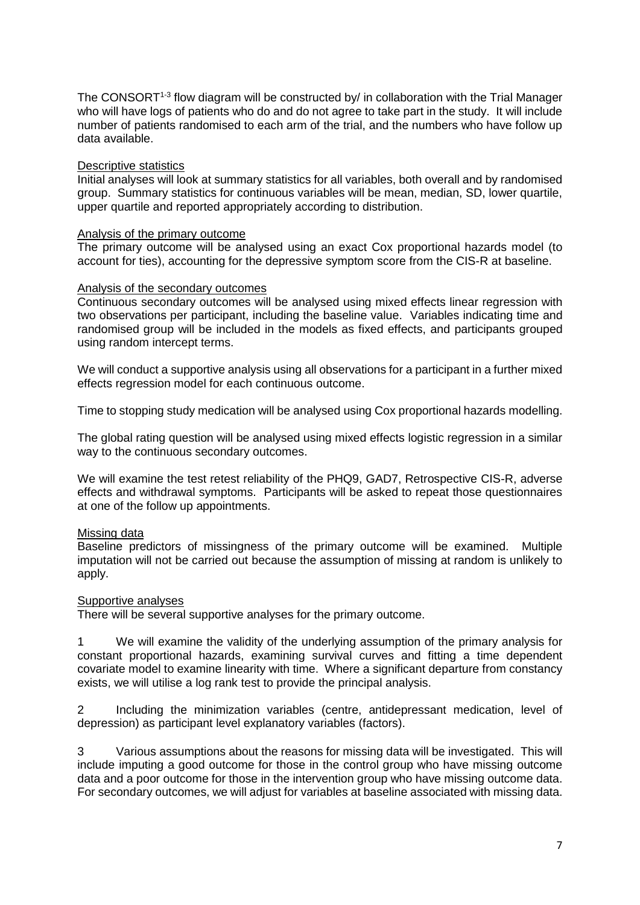The CONSORT<sup>1-3</sup> flow diagram will be constructed by/ in collaboration with the Trial Manager who will have logs of patients who do and do not agree to take part in the study. It will include number of patients randomised to each arm of the trial, and the numbers who have follow up data available.

### Descriptive statistics

Initial analyses will look at summary statistics for all variables, both overall and by randomised group. Summary statistics for continuous variables will be mean, median, SD, lower quartile, upper quartile and reported appropriately according to distribution.

### Analysis of the primary outcome

The primary outcome will be analysed using an exact Cox proportional hazards model (to account for ties), accounting for the depressive symptom score from the CIS-R at baseline.

### Analysis of the secondary outcomes

Continuous secondary outcomes will be analysed using mixed effects linear regression with two observations per participant, including the baseline value. Variables indicating time and randomised group will be included in the models as fixed effects, and participants grouped using random intercept terms.

We will conduct a supportive analysis using all observations for a participant in a further mixed effects regression model for each continuous outcome.

Time to stopping study medication will be analysed using Cox proportional hazards modelling.

The global rating question will be analysed using mixed effects logistic regression in a similar way to the continuous secondary outcomes.

We will examine the test retest reliability of the PHQ9, GAD7, Retrospective CIS-R, adverse effects and withdrawal symptoms. Participants will be asked to repeat those questionnaires at one of the follow up appointments.

## Missing data

Baseline predictors of missingness of the primary outcome will be examined. Multiple imputation will not be carried out because the assumption of missing at random is unlikely to apply.

### Supportive analyses

There will be several supportive analyses for the primary outcome.

1 We will examine the validity of the underlying assumption of the primary analysis for constant proportional hazards, examining survival curves and fitting a time dependent covariate model to examine linearity with time. Where a significant departure from constancy exists, we will utilise a log rank test to provide the principal analysis.

2 Including the minimization variables (centre, antidepressant medication, level of depression) as participant level explanatory variables (factors).

3 Various assumptions about the reasons for missing data will be investigated. This will include imputing a good outcome for those in the control group who have missing outcome data and a poor outcome for those in the intervention group who have missing outcome data. For secondary outcomes, we will adjust for variables at baseline associated with missing data.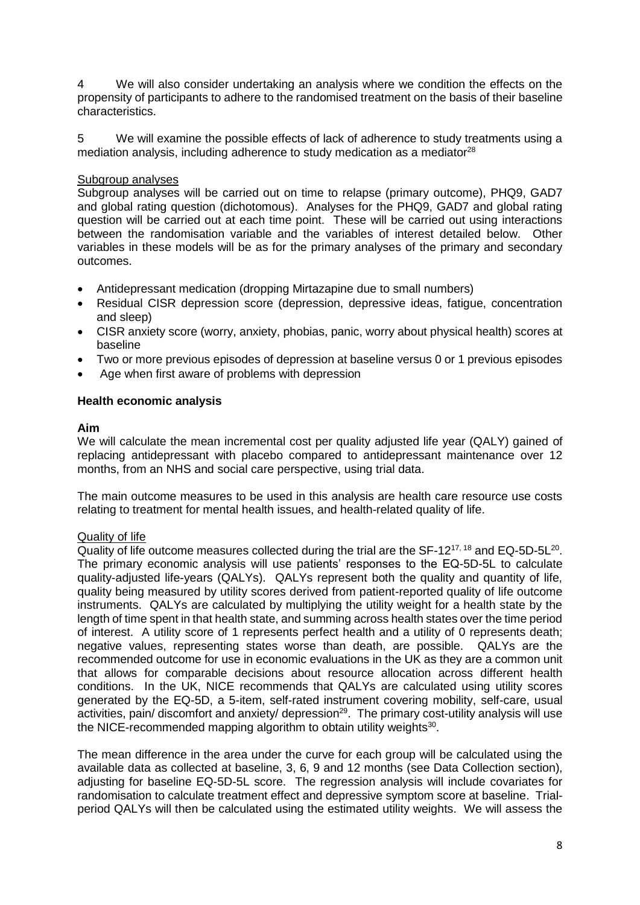4 We will also consider undertaking an analysis where we condition the effects on the propensity of participants to adhere to the randomised treatment on the basis of their baseline characteristics.

5 We will examine the possible effects of lack of adherence to study treatments using a mediation analysis, including adherence to study medication as a mediator<sup>28</sup>

## Subgroup analyses

Subgroup analyses will be carried out on time to relapse (primary outcome), PHQ9, GAD7 and global rating question (dichotomous). Analyses for the PHQ9, GAD7 and global rating question will be carried out at each time point. These will be carried out using interactions between the randomisation variable and the variables of interest detailed below. Other variables in these models will be as for the primary analyses of the primary and secondary outcomes.

- Antidepressant medication (dropping Mirtazapine due to small numbers)
- Residual CISR depression score (depression, depressive ideas, fatigue, concentration and sleep)
- CISR anxiety score (worry, anxiety, phobias, panic, worry about physical health) scores at baseline
- Two or more previous episodes of depression at baseline versus 0 or 1 previous episodes
- Age when first aware of problems with depression

# **Health economic analysis**

## **Aim**

We will calculate the mean incremental cost per quality adjusted life year (QALY) gained of replacing antidepressant with placebo compared to antidepressant maintenance over 12 months, from an NHS and social care perspective, using trial data.

The main outcome measures to be used in this analysis are health care resource use costs relating to treatment for mental health issues, and health-related quality of life.

# Quality of life

Quality of life outcome measures collected during the trial are the SF-12 $^{17,18}$  and EQ-5D-5L $^{20}$ . The primary economic analysis will use patients' responses to the EQ-5D-5L to calculate quality-adjusted life-years (QALYs). QALYs represent both the quality and quantity of life, quality being measured by utility scores derived from patient-reported quality of life outcome instruments. QALYs are calculated by multiplying the utility weight for a health state by the length of time spent in that health state, and summing across health states over the time period of interest. A utility score of 1 represents perfect health and a utility of 0 represents death; negative values, representing states worse than death, are possible. QALYs are the recommended outcome for use in economic evaluations in the UK as they are a common unit that allows for comparable decisions about resource allocation across different health conditions. In the UK, NICE recommends that QALYs are calculated using utility scores generated by the EQ-5D, a 5-item, self-rated instrument covering mobility, self-care, usual activities, pain/ discomfort and anxiety/ depression<sup>29</sup>. The primary cost-utility analysis will use the NICE-recommended mapping algorithm to obtain utility weights<sup>30</sup>.

The mean difference in the area under the curve for each group will be calculated using the available data as collected at baseline, 3, 6, 9 and 12 months (see Data Collection section), adjusting for baseline EQ-5D-5L score. The regression analysis will include covariates for randomisation to calculate treatment effect and depressive symptom score at baseline. Trialperiod QALYs will then be calculated using the estimated utility weights. We will assess the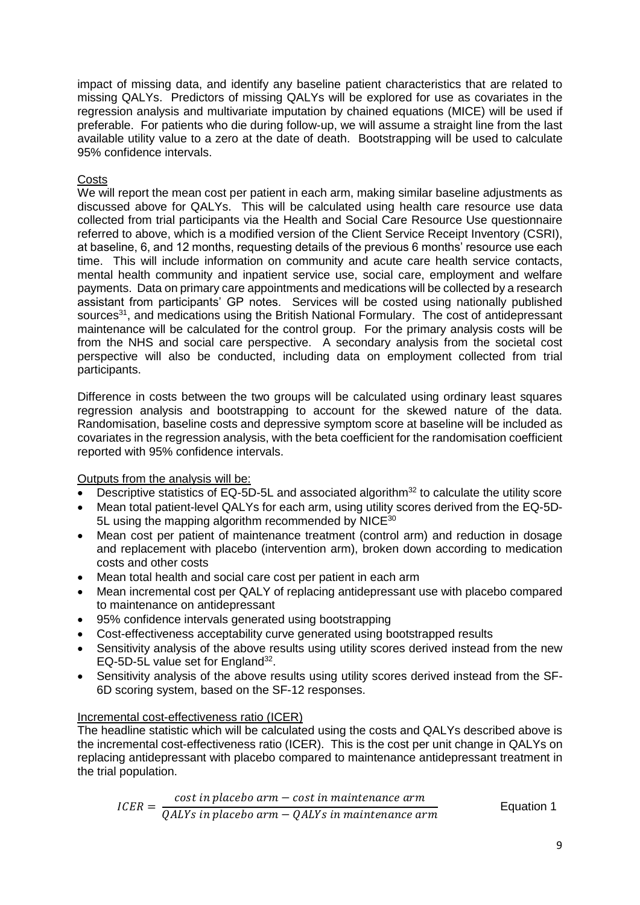impact of missing data, and identify any baseline patient characteristics that are related to missing QALYs. Predictors of missing QALYs will be explored for use as covariates in the regression analysis and multivariate imputation by chained equations (MICE) will be used if preferable. For patients who die during follow-up, we will assume a straight line from the last available utility value to a zero at the date of death. Bootstrapping will be used to calculate 95% confidence intervals.

# **Costs**

We will report the mean cost per patient in each arm, making similar baseline adjustments as discussed above for QALYs. This will be calculated using health care resource use data collected from trial participants via the Health and Social Care Resource Use questionnaire referred to above, which is a modified version of the Client Service Receipt Inventory (CSRI), at baseline, 6, and 12 months, requesting details of the previous 6 months' resource use each time. This will include information on community and acute care health service contacts, mental health community and inpatient service use, social care, employment and welfare payments. Data on primary care appointments and medications will be collected by a research assistant from participants' GP notes. Services will be costed using nationally published sources<sup>31</sup>, and medications using the British National Formulary. The cost of antidepressant maintenance will be calculated for the control group. For the primary analysis costs will be from the NHS and social care perspective. A secondary analysis from the societal cost perspective will also be conducted, including data on employment collected from trial participants.

Difference in costs between the two groups will be calculated using ordinary least squares regression analysis and bootstrapping to account for the skewed nature of the data. Randomisation, baseline costs and depressive symptom score at baseline will be included as covariates in the regression analysis, with the beta coefficient for the randomisation coefficient reported with 95% confidence intervals.

## Outputs from the analysis will be:

- Descriptive statistics of EQ-5D-5L and associated algorithm<sup>32</sup> to calculate the utility score
- Mean total patient-level QALYs for each arm, using utility scores derived from the EQ-5D-5L using the mapping algorithm recommended by NICE<sup>30</sup>
- Mean cost per patient of maintenance treatment (control arm) and reduction in dosage and replacement with placebo (intervention arm), broken down according to medication costs and other costs
- Mean total health and social care cost per patient in each arm
- Mean incremental cost per QALY of replacing antidepressant use with placebo compared to maintenance on antidepressant
- 95% confidence intervals generated using bootstrapping
- Cost-effectiveness acceptability curve generated using bootstrapped results
- Sensitivity analysis of the above results using utility scores derived instead from the new EQ-5D-5L value set for England $^{32}$ .
- Sensitivity analysis of the above results using utility scores derived instead from the SF-6D scoring system, based on the SF-12 responses.

## Incremental cost-effectiveness ratio (ICER)

The headline statistic which will be calculated using the costs and QALYs described above is the incremental cost-effectiveness ratio (ICER). This is the cost per unit change in QALYs on replacing antidepressant with placebo compared to maintenance antidepressant treatment in the trial population.

*ICER* = 
$$
\frac{\text{cost in placebo arm} - \text{cost in maintenance arm}}{\text{QALYs in placebo arm} - \text{QALYs in maintenance arm}}
$$
 *Equation 1*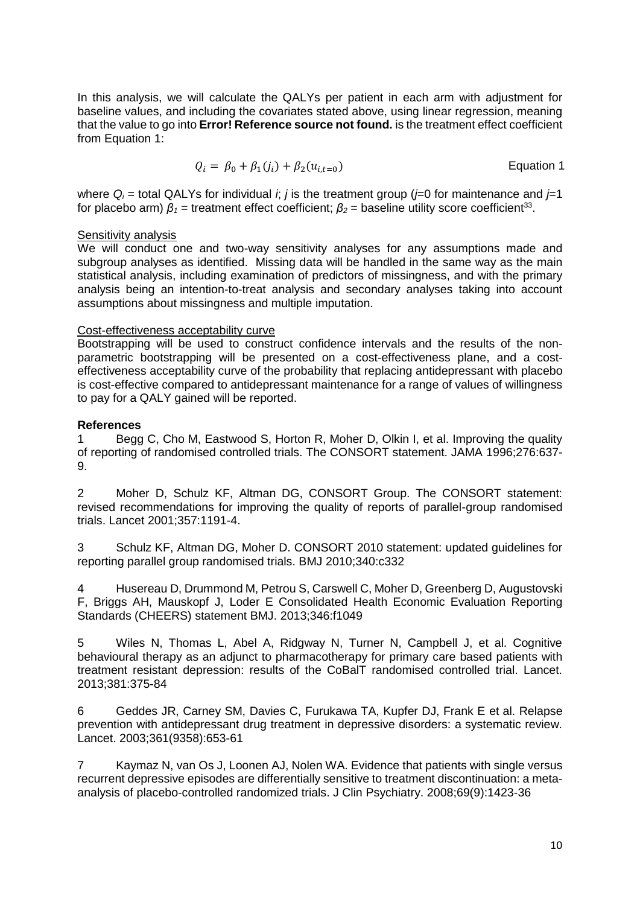In this analysis, we will calculate the QALYs per patient in each arm with adjustment for baseline values, and including the covariates stated above, using linear regression, meaning that the value to go into **Error! Reference source not found.** is the treatment effect coefficient from [Equation 1:](#page-9-0)

<span id="page-9-0"></span>
$$
Q_i = \beta_0 + \beta_1(j_i) + \beta_2(u_{i,t=0})
$$
 Equation 1

where  $Q_i$  = total QALYs for individual *i*; *j* is the treatment group ( $i=0$  for maintenance and  $i=1$ for placebo arm)  $β_1$  = treatment effect coefficient;  $β_2$  = baseline utility score coefficient<sup>33</sup>.

### Sensitivity analysis

We will conduct one and two-way sensitivity analyses for any assumptions made and subgroup analyses as identified. Missing data will be handled in the same way as the main statistical analysis, including examination of predictors of missingness, and with the primary analysis being an intention-to-treat analysis and secondary analyses taking into account assumptions about missingness and multiple imputation.

### Cost-effectiveness acceptability curve

Bootstrapping will be used to construct confidence intervals and the results of the nonparametric bootstrapping will be presented on a cost-effectiveness plane, and a costeffectiveness acceptability curve of the probability that replacing antidepressant with placebo is cost-effective compared to antidepressant maintenance for a range of values of willingness to pay for a QALY gained will be reported.

## **References**

1 Begg C, Cho M, Eastwood S, Horton R, Moher D, Olkin I, et al. Improving the quality of reporting of randomised controlled trials. The CONSORT statement. JAMA 1996;276:637- 9.

2 Moher D, Schulz KF, Altman DG, CONSORT Group. The CONSORT statement: revised recommendations for improving the quality of reports of parallel-group randomised trials. Lancet 2001;357:1191-4.

3 Schulz KF, Altman DG, Moher D. CONSORT 2010 statement: updated guidelines for reporting parallel group randomised trials. BMJ 2010;340:c332

4 Husereau D, Drummond M, Petrou S, Carswell C, Moher D, Greenberg D, Augustovski F, Briggs AH, Mauskopf J, Loder E Consolidated Health Economic Evaluation Reporting Standards (CHEERS) statement BMJ. 2013;346:f1049

5 Wiles N, Thomas L, Abel A, Ridgway N, Turner N, Campbell J, et al. Cognitive behavioural therapy as an adjunct to pharmacotherapy for primary care based patients with treatment resistant depression: results of the CoBalT randomised controlled trial. Lancet. 2013;381:375-84

6 Geddes JR, Carney SM, Davies C, Furukawa TA, Kupfer DJ, Frank E et al. Relapse prevention with antidepressant drug treatment in depressive disorders: a systematic review. Lancet. 2003;361(9358):653-61

7 Kaymaz N, van Os J, Loonen AJ, Nolen WA. Evidence that patients with single versus recurrent depressive episodes are differentially sensitive to treatment discontinuation: a metaanalysis of placebo-controlled randomized trials. J Clin Psychiatry. 2008;69(9):1423-36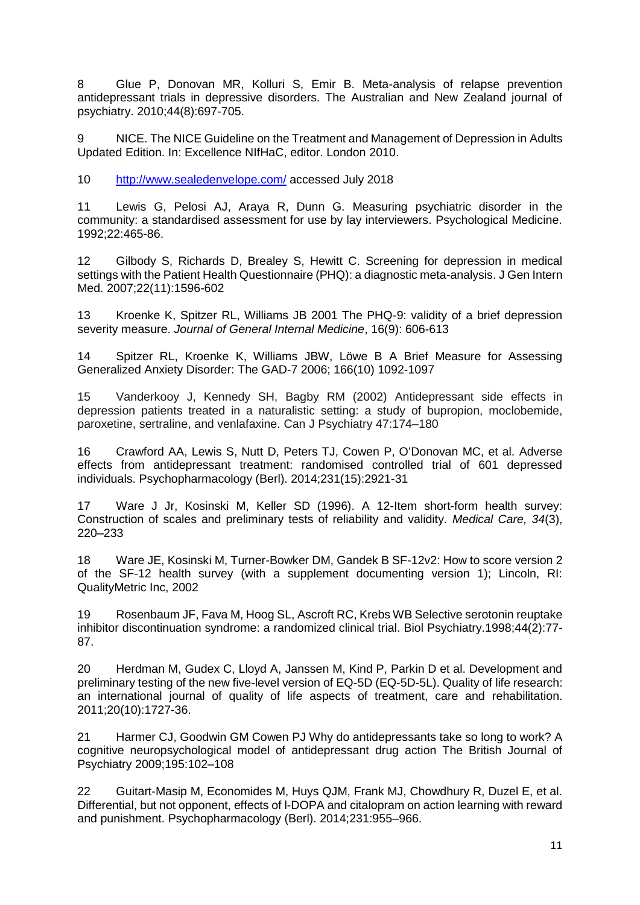8 Glue P, Donovan MR, Kolluri S, Emir B. Meta-analysis of relapse prevention antidepressant trials in depressive disorders. The Australian and New Zealand journal of psychiatry. 2010;44(8):697-705.

9 NICE. The NICE Guideline on the Treatment and Management of Depression in Adults Updated Edition. In: Excellence NIfHaC, editor. London 2010.

10 <http://www.sealedenvelope.com/> accessed July 2018

11 Lewis G, Pelosi AJ, Araya R, Dunn G. Measuring psychiatric disorder in the community: a standardised assessment for use by lay interviewers. Psychological Medicine. 1992;22:465-86.

12 Gilbody S, Richards D, Brealey S, Hewitt C. Screening for depression in medical settings with the Patient Health Questionnaire (PHQ): a diagnostic meta-analysis. J Gen Intern Med. 2007;22(11):1596-602

13 Kroenke K, Spitzer RL, Williams JB 2001 The PHQ-9: validity of a brief depression severity measure. *Journal of General Internal Medicine*, 16(9): 606-613

14 Spitzer RL, Kroenke K, Williams JBW, Löwe B A Brief Measure for Assessing Generalized Anxiety Disorder: The GAD-7 2006; 166(10) 1092-1097

15 Vanderkooy J, Kennedy SH, Bagby RM (2002) Antidepressant side effects in depression patients treated in a naturalistic setting: a study of bupropion, moclobemide, paroxetine, sertraline, and venlafaxine. Can J Psychiatry 47:174–180

16 Crawford AA, Lewis S, Nutt D, Peters TJ, Cowen P, O'Donovan MC, et al. Adverse effects from antidepressant treatment: randomised controlled trial of 601 depressed individuals. Psychopharmacology (Berl). 2014;231(15):2921-31

17 Ware J Jr, Kosinski M, Keller SD (1996). A 12-Item short-form health survey: Construction of scales and preliminary tests of reliability and validity. *Medical Care, 34*(3), 220–233

18 Ware JE, Kosinski M, Turner-Bowker DM, Gandek B SF-12v2: How to score version 2 of the SF-12 health survey (with a supplement documenting version 1); Lincoln, RI: QualityMetric Inc, 2002

19 Rosenbaum JF, Fava M, Hoog SL, Ascroft RC, Krebs WB Selective serotonin reuptake inhibitor discontinuation syndrome: a randomized clinical trial. Biol Psychiatry.1998;44(2):77- 87.

20 Herdman M, Gudex C, Lloyd A, Janssen M, Kind P, Parkin D et al. Development and preliminary testing of the new five-level version of EQ-5D (EQ-5D-5L). Quality of life research: an international journal of quality of life aspects of treatment, care and rehabilitation. 2011;20(10):1727-36.

21 Harmer CJ, Goodwin GM Cowen PJ Why do antidepressants take so long to work? A cognitive neuropsychological model of antidepressant drug action The British Journal of Psychiatry 2009;195:102–108

22 Guitart-Masip M, Economides M, Huys QJM, Frank MJ, Chowdhury R, Duzel E, et al. Differential, but not opponent, effects of l-DOPA and citalopram on action learning with reward and punishment. Psychopharmacology (Berl). 2014;231:955–966.